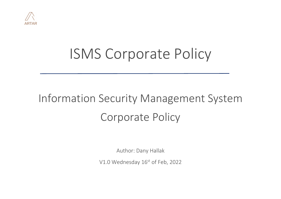

# ISMS Corporate Policy

## Information Security Management System Corporate Policy

Author: Dany Hallak

V1.0 Wednesday 16<sup>st</sup> of Feb, 2022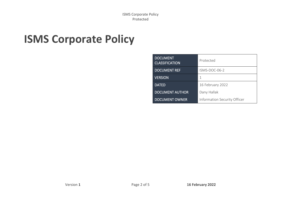ISMS Corporate Policy Protected

## **ISMS Corporate Policy**

| <b>DOCUMENT</b><br><b>CLASSIFICATION</b> | Protected                    |
|------------------------------------------|------------------------------|
| <b>DOCUMENT REF</b>                      | $ISMS-DOC-06-2$              |
| <b>VERSION</b>                           |                              |
| <b>DATED</b>                             | 16 February 2022             |
| <b>DOCUMENT AUTHOR</b>                   | Dany Hallak                  |
| <b>DOCUMENT OWNER</b>                    | Information Security Officer |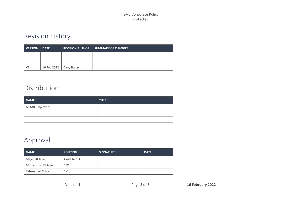#### ISMS Corporate Policy Protected

### Revision history

| <b>VERSION</b> | <b>DATE</b>               | <b>REVISION AUTHOR SUMMARY OF CHANGES</b> |
|----------------|---------------------------|-------------------------------------------|
|                |                           |                                           |
|                |                           |                                           |
| V <sub>1</sub> | 16 Feb 2022   Dany Hallak |                                           |

#### Distribution

| <b>NAME</b>            | <b>TITLE</b> |
|------------------------|--------------|
| <b>ARTAR Employees</b> |              |
|                        |              |
|                        |              |

#### Approval

| <b>NAME</b>       | <b>POSITION</b> | <b>SIGNATURE</b> | <b>DATE</b> |
|-------------------|-----------------|------------------|-------------|
| Majed Al Jaber    | Assist to CEO   |                  |             |
| Mohammad El Sayed | <b>CFO</b>      |                  |             |
| Tahseen Al Aktaa  | <b>CIO</b>      |                  |             |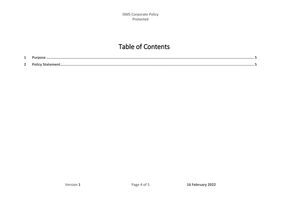#### **Table of Contents**

| -             |  |
|---------------|--|
| <u>ີ</u><br>- |  |